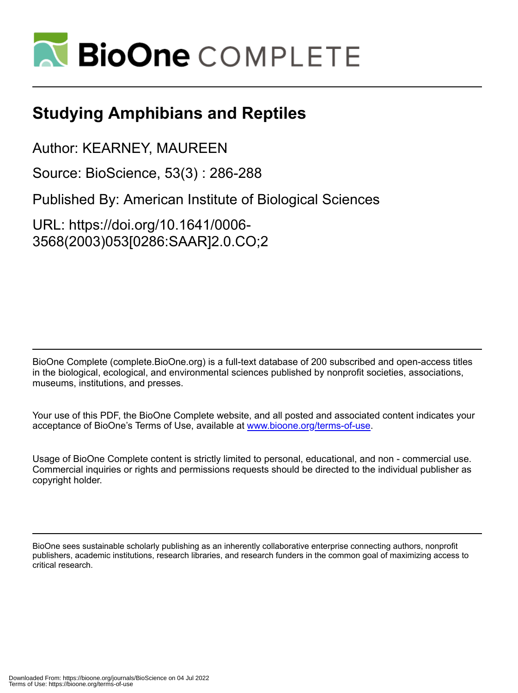

# **Studying Amphibians and Reptiles**

Author: KEARNEY, MAUREEN

Source: BioScience, 53(3) : 286-288

Published By: American Institute of Biological Sciences

URL: https://doi.org/10.1641/0006- 3568(2003)053[0286:SAAR]2.0.CO;2

BioOne Complete (complete.BioOne.org) is a full-text database of 200 subscribed and open-access titles in the biological, ecological, and environmental sciences published by nonprofit societies, associations, museums, institutions, and presses.

Your use of this PDF, the BioOne Complete website, and all posted and associated content indicates your acceptance of BioOne's Terms of Use, available at www.bioone.org/terms-of-use.

Usage of BioOne Complete content is strictly limited to personal, educational, and non - commercial use. Commercial inquiries or rights and permissions requests should be directed to the individual publisher as copyright holder.

BioOne sees sustainable scholarly publishing as an inherently collaborative enterprise connecting authors, nonprofit publishers, academic institutions, research libraries, and research funders in the common goal of maximizing access to critical research.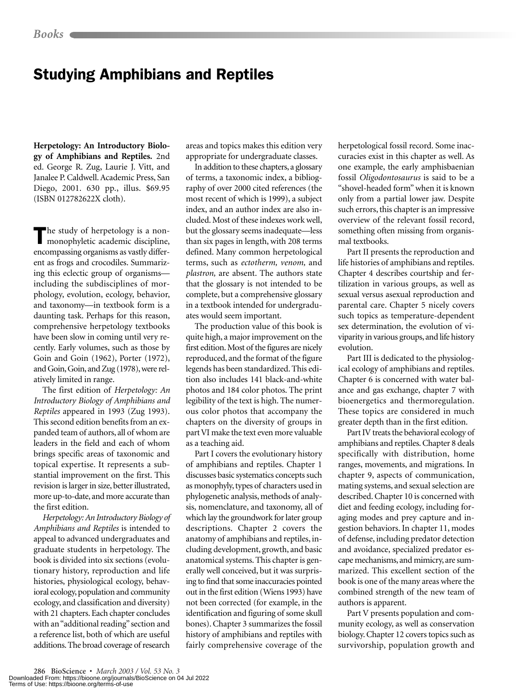# Studying Amphibians and Reptiles

**Herpetology: An Introductory Biology of Amphibians and Reptiles.** 2nd ed. George R. Zug, Laurie J. Vitt, and Janalee P. Caldwell. Academic Press, San Diego, 2001. 630 pp., illus. \$69.95 (ISBN 012782622X cloth).

The study of herpetology is a nonmonophyletic academic discipline, encompassing organisms as vastly different as frogs and crocodiles. Summarizing this eclectic group of organisms including the subdisciplines of morphology, evolution, ecology, behavior, and taxonomy—in textbook form is a daunting task. Perhaps for this reason, comprehensive herpetology textbooks have been slow in coming until very recently. Early volumes, such as those by Goin and Goin (1962), Porter (1972), and Goin, Goin, and Zug (1978), were relatively limited in range.

The first edition of *Herpetology: An Introductory Biology of Amphibians and Reptiles* appeared in 1993 (Zug 1993). This second edition benefits from an expanded team of authors, all of whom are leaders in the field and each of whom brings specific areas of taxonomic and topical expertise. It represents a substantial improvement on the first. This revision is larger in size, better illustrated, more up-to-date, and more accurate than the first edition.

*Herpetology: An Introductory Biology of Amphibians and Reptiles* is intended to appeal to advanced undergraduates and graduate students in herpetology. The book is divided into six sections (evolutionary history, reproduction and life histories, physiological ecology, behavioral ecology, population and community ecology, and classification and diversity) with 21 chapters. Each chapter concludes with an "additional reading" section and a reference list, both of which are useful additions. The broad coverage of research

areas and topics makes this edition very appropriate for undergraduate classes.

In addition to these chapters, a glossary of terms, a taxonomic index, a bibliography of over 2000 cited references (the most recent of which is 1999), a subject index, and an author index are also included. Most of these indexes work well, but the glossary seems inadequate—less than six pages in length, with 208 terms defined. Many common herpetological terms, such as *ectotherm, venom,* and *plastron,* are absent. The authors state that the glossary is not intended to be complete, but a comprehensive glossary in a textbook intended for undergraduates would seem important.

The production value of this book is quite high, a major improvement on the first edition. Most of the figures are nicely reproduced, and the format of the figure legends has been standardized. This edition also includes 141 black-and-white photos and 184 color photos. The print legibility of the text is high. The numerous color photos that accompany the chapters on the diversity of groups in part VI make the text even more valuable as a teaching aid.

Part I covers the evolutionary history of amphibians and reptiles. Chapter 1 discusses basic systematics concepts such as monophyly, types of characters used in phylogenetic analysis, methods of analysis, nomenclature, and taxonomy, all of which lay the groundwork for later group descriptions. Chapter 2 covers the anatomy of amphibians and reptiles, including development, growth, and basic anatomical systems. This chapter is generally well conceived, but it was surprising to find that some inaccuracies pointed out in the first edition (Wiens 1993) have not been corrected (for example, in the identification and figuring of some skull bones). Chapter 3 summarizes the fossil history of amphibians and reptiles with fairly comprehensive coverage of the

herpetological fossil record. Some inaccuracies exist in this chapter as well. As one example, the early amphisbaenian fossil *Oligodontosaurus* is said to be a "shovel-headed form" when it is known only from a partial lower jaw. Despite such errors, this chapter is an impressive overview of the relevant fossil record, something often missing from organismal textbooks.

Part II presents the reproduction and life histories of amphibians and reptiles. Chapter 4 describes courtship and fertilization in various groups, as well as sexual versus asexual reproduction and parental care. Chapter 5 nicely covers such topics as temperature-dependent sex determination, the evolution of viviparity in various groups, and life history evolution.

Part III is dedicated to the physiological ecology of amphibians and reptiles. Chapter 6 is concerned with water balance and gas exchange, chapter 7 with bioenergetics and thermoregulation. These topics are considered in much greater depth than in the first edition.

Part IV treats the behavioral ecology of amphibians and reptiles. Chapter 8 deals specifically with distribution, home ranges, movements, and migrations. In chapter 9, aspects of communication, mating systems, and sexual selection are described. Chapter 10 is concerned with diet and feeding ecology, including foraging modes and prey capture and ingestion behaviors. In chapter 11, modes of defense, including predator detection and avoidance, specialized predator escape mechanisms, and mimicry, are summarized. This excellent section of the book is one of the many areas where the combined strength of the new team of authors is apparent.

Part V presents population and community ecology, as well as conservation biology. Chapter 12 covers topics such as survivorship, population growth and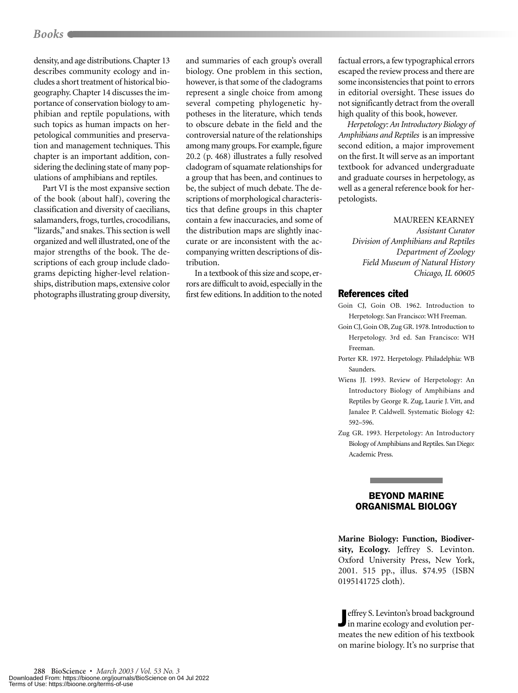# *Books*

density, and age distributions. Chapter 13 describes community ecology and includes a short treatment of historical biogeography. Chapter 14 discusses the importance of conservation biology to amphibian and reptile populations, with such topics as human impacts on herpetological communities and preservation and management techniques. This chapter is an important addition, considering the declining state of many populations of amphibians and reptiles.

Part VI is the most expansive section of the book (about half), covering the classification and diversity of caecilians, salamanders, frogs, turtles, crocodilians, "lizards," and snakes. This section is well organized and well illustrated, one of the major strengths of the book. The descriptions of each group include cladograms depicting higher-level relationships, distribution maps, extensive color photographs illustrating group diversity,

and summaries of each group's overall biology. One problem in this section, however, is that some of the cladograms represent a single choice from among several competing phylogenetic hypotheses in the literature, which tends to obscure debate in the field and the controversial nature of the relationships among many groups. For example, figure 20.2 (p. 468) illustrates a fully resolved cladogram of squamate relationships for a group that has been, and continues to be, the subject of much debate. The descriptions of morphological characteristics that define groups in this chapter contain a few inaccuracies, and some of the distribution maps are slightly inaccurate or are inconsistent with the accompanying written descriptions of distribution.

In a textbook of this size and scope, errors are difficult to avoid, especially in the first few editions. In addition to the noted factual errors, a few typographical errors escaped the review process and there are some inconsistencies that point to errors in editorial oversight. These issues do not significantly detract from the overall high quality of this book, however.

*Herpetology: An Introductory Biology of Amphibians and Reptiles* is an impressive second edition, a major improvement on the first. It will serve as an important textbook for advanced undergraduate and graduate courses in herpetology, as well as a general reference book for herpetologists.

#### MAUREEN KEARNEY

*Assistant Curator Division of Amphibians and Reptiles Department of Zoology Field Museum of Natural History Chicago, IL 60605*

### References cited

- Goin CJ, Goin OB. 1962. Introduction to Herpetology. San Francisco: WH Freeman.
- Goin CJ, Goin OB, Zug GR. 1978. Introduction to Herpetology. 3rd ed. San Francisco: WH Freeman.
- Porter KR. 1972. Herpetology. Philadelphia: WB Saunders.
- Wiens JJ. 1993. Review of Herpetology: An Introductory Biology of Amphibians and Reptiles by George R. Zug, Laurie J. Vitt, and Janalee P. Caldwell. Systematic Biology 42: 592–596.
- Zug GR. 1993. Herpetology: An Introductory Biology of Amphibians and Reptiles. San Diego: Academic Press.

#### BEYOND MARINE ORGANISMAL BIOLOGY

**Marine Biology: Function, Biodiversity, Ecology.** Jeffrey S. Levinton. Oxford University Press, New York, 2001. 515 pp., illus. \$74.95 (ISBN 0195141725 cloth).

J in marine ecology and evolution pereffrey S. Levinton's broad background meates the new edition of his textbook on marine biology. It's no surprise that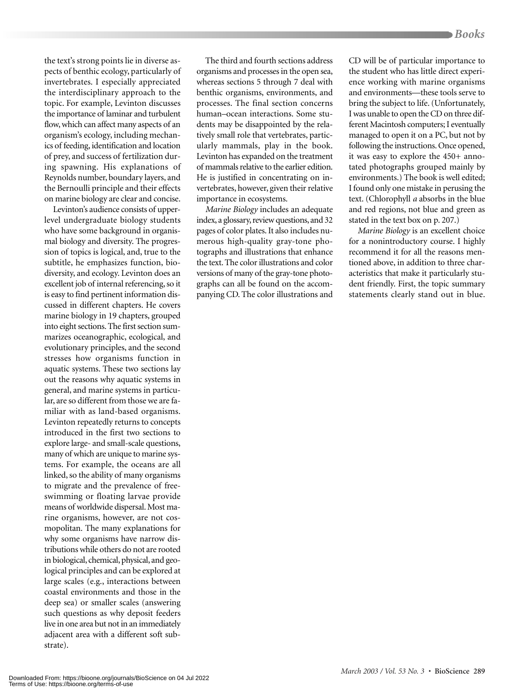the text's strong points lie in diverse aspects of benthic ecology, particularly of invertebrates. I especially appreciated the interdisciplinary approach to the topic. For example, Levinton discusses the importance of laminar and turbulent flow, which can affect many aspects of an organism's ecology, including mechanics of feeding, identification and location of prey, and success of fertilization during spawning. His explanations of Reynolds number, boundary layers, and the Bernoulli principle and their effects on marine biology are clear and concise.

Levinton's audience consists of upperlevel undergraduate biology students who have some background in organismal biology and diversity. The progression of topics is logical, and, true to the subtitle, he emphasizes function, biodiversity, and ecology. Levinton does an excellent job of internal referencing, so it is easy to find pertinent information discussed in different chapters. He covers marine biology in 19 chapters, grouped into eight sections. The first section summarizes oceanographic, ecological, and evolutionary principles, and the second stresses how organisms function in aquatic systems. These two sections lay out the reasons why aquatic systems in general, and marine systems in particular, are so different from those we are familiar with as land-based organisms. Levinton repeatedly returns to concepts introduced in the first two sections to explore large- and small-scale questions, many of which are unique to marine systems. For example, the oceans are all linked, so the ability of many organisms to migrate and the prevalence of freeswimming or floating larvae provide means of worldwide dispersal. Most marine organisms, however, are not cosmopolitan. The many explanations for why some organisms have narrow distributions while others do not are rooted in biological, chemical, physical, and geological principles and can be explored at large scales (e.g., interactions between coastal environments and those in the deep sea) or smaller scales (answering such questions as why deposit feeders live in one area but not in an immediately adjacent area with a different soft substrate).

The third and fourth sections address organisms and processes in the open sea, whereas sections 5 through 7 deal with benthic organisms, environments, and processes. The final section concerns human–ocean interactions. Some students may be disappointed by the relatively small role that vertebrates, particularly mammals, play in the book. Levinton has expanded on the treatment of mammals relative to the earlier edition. He is justified in concentrating on invertebrates, however, given their relative importance in ecosystems.

*Marine Biology* includes an adequate index, a glossary, review questions, and 32 pages of color plates. It also includes numerous high-quality gray-tone photographs and illustrations that enhance the text. The color illustrations and color versions of many of the gray-tone photographs can all be found on the accompanying CD. The color illustrations and CD will be of particular importance to the student who has little direct experience working with marine organisms and environments—these tools serve to bring the subject to life. (Unfortunately, I was unable to open the CD on three different Macintosh computers; I eventually managed to open it on a PC, but not by following the instructions. Once opened, it was easy to explore the 450+ annotated photographs grouped mainly by environments.) The book is well edited; I found only one mistake in perusing the text. (Chlorophyll *a* absorbs in the blue and red regions, not blue and green as stated in the text box on p. 207.)

*Marine Biology* is an excellent choice for a nonintroductory course. I highly recommend it for all the reasons mentioned above, in addition to three characteristics that make it particularly student friendly. First, the topic summary statements clearly stand out in blue.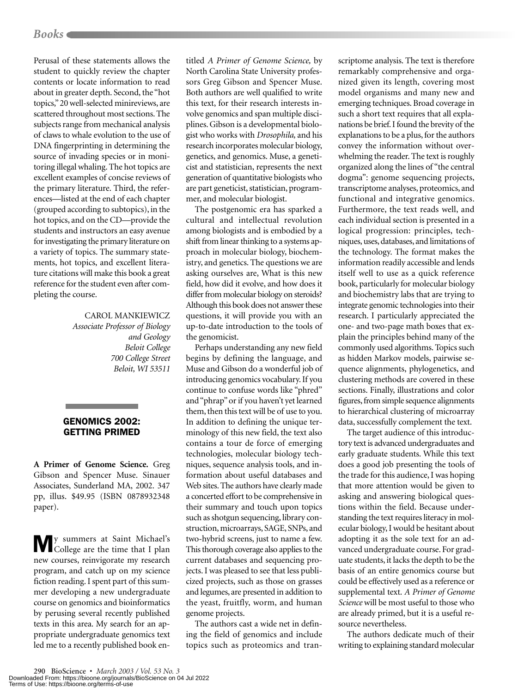Perusal of these statements allows the student to quickly review the chapter contents or locate information to read about in greater depth. Second, the "hot topics,"20 well-selected minireviews, are scattered throughout most sections. The subjects range from mechanical analysis of claws to whale evolution to the use of DNA fingerprinting in determining the source of invading species or in monitoring illegal whaling. The hot topics are excellent examples of concise reviews of the primary literature. Third, the references—listed at the end of each chapter (grouped according to subtopics), in the hot topics, and on the CD—provide the students and instructors an easy avenue for investigating the primary literature on a variety of topics. The summary statements, hot topics, and excellent literature citations will make this book a great reference for the student even after completing the course.

> CAROL MANKIEWICZ *Associate Professor of Biology and Geology Beloit College 700 College Street Beloit, WI 53511*

### GENOMICS 2002: GETTING PRIMED

**A Primer of Genome Science.** Greg Gibson and Spencer Muse. Sinauer Associates, Sunderland MA, 2002. 347 pp, illus. \$49.95 (ISBN 0878932348 paper).

My summers at Saint Michael's College are the time that I plan new courses, reinvigorate my research program, and catch up on my science fiction reading. I spent part of this summer developing a new undergraduate course on genomics and bioinformatics by perusing several recently published texts in this area. My search for an appropriate undergraduate genomics text led me to a recently published book en-

titled *A Primer of Genome Science,* by North Carolina State University professors Greg Gibson and Spencer Muse. Both authors are well qualified to write this text, for their research interests involve genomics and span multiple disciplines. Gibson is a developmental biologist who works with *Drosophila,* and his research incorporates molecular biology, genetics, and genomics. Muse, a geneticist and statistician, represents the next generation of quantitative biologists who are part geneticist, statistician, programmer, and molecular biologist.

The postgenomic era has sparked a cultural and intellectual revolution among biologists and is embodied by a shift from linear thinking to a systems approach in molecular biology, biochemistry, and genetics. The questions we are asking ourselves are, What is this new field, how did it evolve, and how does it differ from molecular biology on steroids? Although this book does not answer these questions, it will provide you with an up-to-date introduction to the tools of the genomicist.

Perhaps understanding any new field begins by defining the language, and Muse and Gibson do a wonderful job of introducing genomics vocabulary. If you continue to confuse words like "phred" and "phrap"or if you haven't yet learned them, then this text will be of use to you. In addition to defining the unique terminology of this new field, the text also contains a tour de force of emerging technologies, molecular biology techniques, sequence analysis tools, and information about useful databases and Web sites. The authors have clearly made a concerted effort to be comprehensive in their summary and touch upon topics such as shotgun sequencing, library construction, microarrays, SAGE, SNPs, and two-hybrid screens, just to name a few. This thorough coverage also applies to the current databases and sequencing projects. I was pleased to see that less publicized projects, such as those on grasses and legumes, are presented in addition to the yeast, fruitfly, worm, and human genome projects.

The authors cast a wide net in defining the field of genomics and include topics such as proteomics and transcriptome analysis. The text is therefore remarkably comprehensive and organized given its length, covering most model organisms and many new and emerging techniques. Broad coverage in such a short text requires that all explanations be brief. I found the brevity of the explanations to be a plus, for the authors convey the information without overwhelming the reader. The text is roughly organized along the lines of "the central dogma": genome sequencing projects, transcriptome analyses, proteomics, and functional and integrative genomics. Furthermore, the text reads well, and each individual section is presented in a logical progression: principles, techniques, uses, databases, and limitations of the technology. The format makes the information readily accessible and lends itself well to use as a quick reference book, particularly for molecular biology and biochemistry labs that are trying to integrate genomic technologies into their research. I particularly appreciated the one- and two-page math boxes that explain the principles behind many of the commonly used algorithms. Topics such as hidden Markov models, pairwise sequence alignments, phylogenetics, and clustering methods are covered in these sections. Finally, illustrations and color figures, from simple sequence alignments to hierarchical clustering of microarray data, successfully complement the text.

The target audience of this introductory text is advanced undergraduates and early graduate students. While this text does a good job presenting the tools of the trade for this audience, I was hoping that more attention would be given to asking and answering biological questions within the field. Because understanding the text requires literacy in molecular biology, I would be hesitant about adopting it as the sole text for an advanced undergraduate course. For graduate students, it lacks the depth to be the basis of an entire genomics course but could be effectively used as a reference or supplemental text. *A Primer of Genome Science* will be most useful to those who are already primed, but it is a useful resource nevertheless.

The authors dedicate much of their writing to explaining standard molecular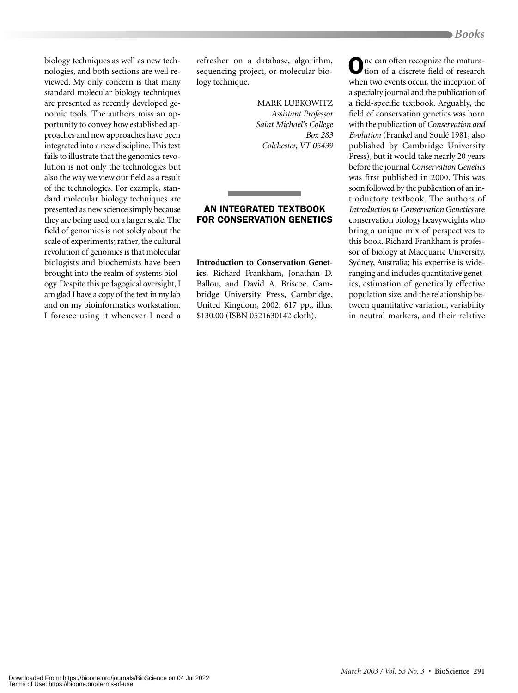biology techniques as well as new technologies, and both sections are well reviewed. My only concern is that many standard molecular biology techniques are presented as recently developed genomic tools. The authors miss an opportunity to convey how established approaches and new approaches have been integrated into a new discipline. This text fails to illustrate that the genomics revolution is not only the technologies but also the way we view our field as a result of the technologies. For example, standard molecular biology techniques are presented as new science simply because they are being used on a larger scale. The field of genomics is not solely about the scale of experiments; rather, the cultural revolution of genomics is that molecular biologists and biochemists have been brought into the realm of systems biology. Despite this pedagogical oversight, I am glad I have a copy of the text in my lab and on my bioinformatics workstation. I foresee using it whenever I need a

refresher on a database, algorithm, sequencing project, or molecular biology technique.

> MARK LUBKOWITZ *Assistant Professor Saint Michael's College Box 283 Colchester, VT 05439*

# AN INTEGRATED TEXTBOOK FOR CONSERVATION GENETICS

**Introduction to Conservation Genetics.** Richard Frankham, Jonathan D. Ballou, and David A. Briscoe. Cambridge University Press, Cambridge, United Kingdom, 2002. 617 pp., illus. \$130.00 (ISBN 0521630142 cloth).

One can often recognize the matura-tion of a discrete field of research when two events occur, the inception of a specialty journal and the publication of a field-specific textbook. Arguably, the field of conservation genetics was born with the publication of *Conservation and Evolution* (Frankel and Soulé 1981, also published by Cambridge University Press), but it would take nearly 20 years before the journal *Conservation Genetics* was first published in 2000. This was soon followed by the publication of an introductory textbook. The authors of *Introduction to Conservation Genetics* are conservation biology heavyweights who bring a unique mix of perspectives to this book. Richard Frankham is professor of biology at Macquarie University, Sydney, Australia; his expertise is wideranging and includes quantitative genetics, estimation of genetically effective population size, and the relationship between quantitative variation, variability in neutral markers, and their relative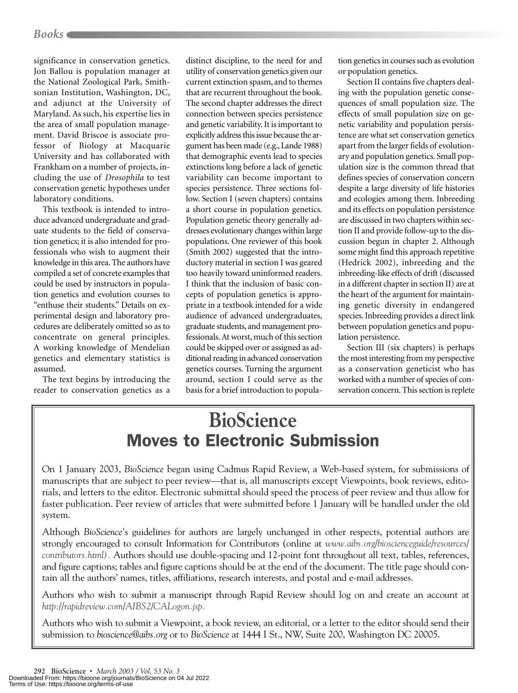# *Books*

significance in conservation genetics. Jon Ballou is population manager at the National Zoological Park, Smithsonian Institution, Washington, DC, and adjunct at the University of Maryland. As such, his expertise lies in the area of small population management. David Briscoe is associate professor of Biology at Macquarie University and has collaborated with Frankham on a number of projects, including the use of *Drosophila* to test conservation genetic hypotheses under laboratory conditions.

This textbook is intended to introduce advanced undergraduate and graduate students to the field of conservation genetics; it is also intended for professionals who wish to augment their knowledge in this area. The authors have compiled a set of concrete examples that could be used by instructors in population genetics and evolution courses to "enthuse their students." Details on experimental design and laboratory procedures are deliberately omitted so as to concentrate on general principles. A working knowledge of Mendelian genetics and elementary statistics is assumed.

The text begins by introducing the reader to conservation genetics as a

distinct discipline, to the need for and utility of conservation genetics given our current extinction spasm, and to themes that are recurrent throughout the book. The second chapter addresses the direct connection between species persistence and genetic variability. It is important to explicitly address this issue because the argument has been made (e.g., Lande 1988) that demographic events lead to species extinctions long before a lack of genetic variability can become important to species persistence. Three sections follow. Section I (seven chapters) contains a short course in population genetics. Population genetic theory generally addresses evolutionary changes within large populations. One reviewer of this book (Smith 2002) suggested that the introductory material in section I was geared too heavily toward uninformed readers. I think that the inclusion of basic concepts of population genetics is appropriate in a textbook intended for a wide audience of advanced undergraduates, graduate students, and management professionals. At worst, much of this section could be skipped over or assigned as additional reading in advanced conservation genetics courses. Turning the argument around, section I could serve as the basis for a brief introduction to population genetics in courses such as evolution or population genetics.

Section II contains five chapters dealing with the population genetic consequences of small population size. The effects of small population size on genetic variability and population persistence are what set conservation genetics apart from the larger fields of evolutionary and population genetics. Small population size is the common thread that defines species of conservation concern despite a large diversity of life histories and ecologies among them. Inbreeding and its effects on population persistence are discussed in two chapters within section II and provide follow-up to the discussion begun in chapter 2. Although some might find this approach repetitive (Hedrick 2002), inbreeding and the inbreeding-like effects of drift (discussed in a different chapter in section II) are at the heart of the argument for maintaining genetic diversity in endangered species. Inbreeding provides a direct link between population genetics and population persistence.

Section III (six chapters) is perhaps the most interesting from my perspective as a conservation geneticist who has worked with a number of species of conservation concern. This section is replete

# **BioScience** Moves to Electronic Submission

On 1 January 2003, *BioScience* began using Cadmus Rapid Review, a Web-based system, for submissions of manuscripts that are subject to peer review—that is, all manuscripts except Viewpoints, book reviews, editorials, and letters to the editor. Electronic submittal should speed the process of peer review and thus allow for faster publication. Peer review of articles that were submitted before 1 January will be handled under the old system.

Although *BioScience'*s guidelines for authors are largely unchanged in other respects, potential authors are strongly encouraged to consult Information for Contributors (online at *www.aibs.org/bioscienceguide/resources/ contributors.html).* Authors should use double-spacing and 12-point font throughout all text, tables, references, and figure captions; tables and figure captions should be at the end of the document. The title page should contain all the authors' names, titles, affiliations, research interests, and postal and e-mail addresses.

Authors who wish to submit a manuscript through Rapid Review should log on and create an account at *http://rapidreview.com/AIBS2/CALogon.jsp.*

Authors who wish to submit a Viewpoint, a book review, an editorial, or a letter to the editor should send their submission to *bioscience@aibs.org* or to *BioScience* at 1444 I St., NW, Suite 200, Washington DC 20005.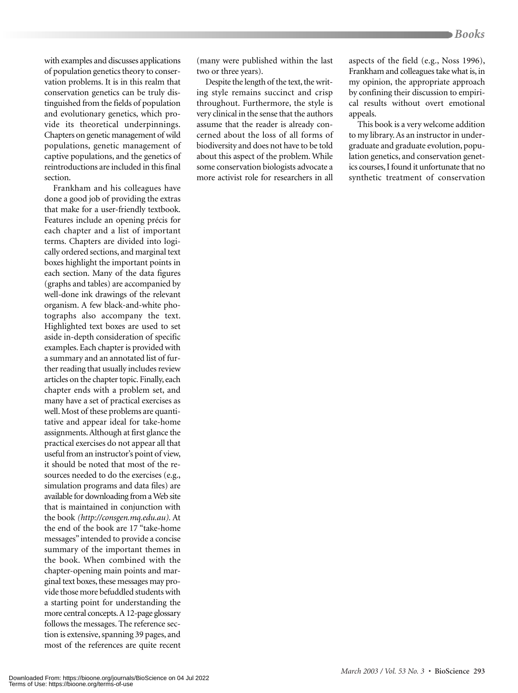with examples and discusses applications of population genetics theory to conservation problems. It is in this realm that conservation genetics can be truly distinguished from the fields of population and evolutionary genetics, which provide its theoretical underpinnings. Chapters on genetic management of wild populations, genetic management of captive populations, and the genetics of reintroductions are included in this final section.

Frankham and his colleagues have done a good job of providing the extras that make for a user-friendly textbook. Features include an opening précis for each chapter and a list of important terms. Chapters are divided into logically ordered sections, and marginal text boxes highlight the important points in each section. Many of the data figures (graphs and tables) are accompanied by well-done ink drawings of the relevant organism. A few black-and-white photographs also accompany the text. Highlighted text boxes are used to set aside in-depth consideration of specific examples. Each chapter is provided with a summary and an annotated list of further reading that usually includes review articles on the chapter topic. Finally, each chapter ends with a problem set, and many have a set of practical exercises as well. Most of these problems are quantitative and appear ideal for take-home assignments. Although at first glance the practical exercises do not appear all that useful from an instructor's point of view, it should be noted that most of the resources needed to do the exercises (e.g., simulation programs and data files) are available for downloading from a Web site that is maintained in conjunction with the book *(http://consgen.mq.edu.au).* At the end of the book are 17 "take-home messages" intended to provide a concise summary of the important themes in the book. When combined with the chapter-opening main points and marginal text boxes, these messages may provide those more befuddled students with a starting point for understanding the more central concepts.A 12-page glossary follows the messages. The reference section is extensive, spanning 39 pages, and most of the references are quite recent

(many were published within the last two or three years).

Despite the length of the text, the writing style remains succinct and crisp throughout. Furthermore, the style is very clinical in the sense that the authors assume that the reader is already concerned about the loss of all forms of biodiversity and does not have to be told about this aspect of the problem. While some conservation biologists advocate a more activist role for researchers in all

aspects of the field (e.g., Noss 1996), Frankham and colleagues take what is, in my opinion, the appropriate approach by confining their discussion to empirical results without overt emotional appeals.

This book is a very welcome addition to my library. As an instructor in undergraduate and graduate evolution, population genetics, and conservation genetics courses, I found it unfortunate that no synthetic treatment of conservation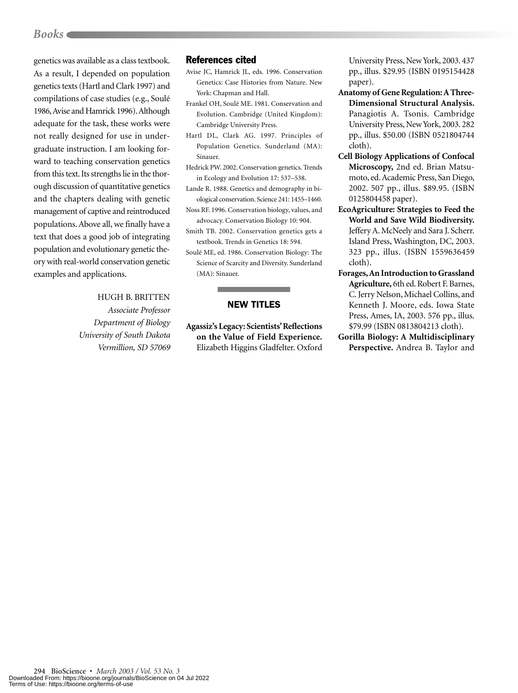# *Books*

genetics was available as a class textbook. As a result, I depended on population genetics texts (Hartl and Clark 1997) and compilations of case studies (e.g., Soulé 1986,Avise and Hamrick 1996).Although adequate for the task, these works were not really designed for use in undergraduate instruction. I am looking forward to teaching conservation genetics from this text. Its strengths lie in the thorough discussion of quantitative genetics and the chapters dealing with genetic management of captive and reintroduced populations. Above all, we finally have a text that does a good job of integrating population and evolutionary genetic theory with real-world conservation genetic examples and applications.

> HUGH B. BRITTEN *Associate Professor Department of Biology University of South Dakota Vermillion, SD 57069*

## References cited

- Avise JC, Hamrick JL, eds. 1996. Conservation Genetics: Case Histories from Nature. New York: Chapman and Hall.
- Frankel OH, Soulé ME. 1981. Conservation and Evolution. Cambridge (United Kingdom): Cambridge University Press.
- Hartl DL, Clark AG. 1997. Principles of Population Genetics. Sunderland (MA): Sinauer.
- Hedrick PW. 2002. Conservation genetics. Trends in Ecology and Evolution 17: 537–538.
- Lande R. 1988. Genetics and demography in biological conservation. Science 241: 1455–1460.
- Noss RF. 1996. Conservation biology, values, and advocacy. Conservation Biology 10: 904.
- Smith TB. 2002. Conservation genetics gets a textbook. Trends in Genetics 18: 594.
- Soulé ME, ed. 1986. Conservation Biology: The Science of Scarcity and Diversity. Sunderland (MA): Sinauer.

#### NEW TITLES

**Agassiz's Legacy: Scientists'Reflections on the Value of Field Experience.** Elizabeth Higgins Gladfelter. Oxford University Press, New York, 2003. 437 pp., illus. \$29.95 (ISBN 0195154428 paper).

- **Anatomy of Gene Regulation: A Three-Dimensional Structural Analysis.** Panagiotis A. Tsonis. Cambridge University Press, New York, 2003. 282 pp., illus. \$50.00 (ISBN 0521804744 cloth).
- **Cell Biology Applications of Confocal Microscopy,** 2nd ed. Brian Matsumoto, ed. Academic Press, San Diego, 2002. 507 pp., illus. \$89.95. (ISBN 0125804458 paper).
- **EcoAgriculture: Strategies to Feed the World and Save Wild Biodiversity.** Jeffery A. McNeely and Sara J. Scherr. Island Press, Washington, DC, 2003. 323 pp., illus. (ISBN 1559636459 cloth).
- **Forages, An Introduction to Grassland Agriculture,** 6th ed. Robert F. Barnes, C. Jerry Nelson, Michael Collins, and Kenneth J. Moore, eds. Iowa State Press, Ames, IA, 2003. 576 pp., illus. \$79.99 (ISBN 0813804213 cloth).
- **Gorilla Biology: A Multidisciplinary Perspective.** Andrea B. Taylor and